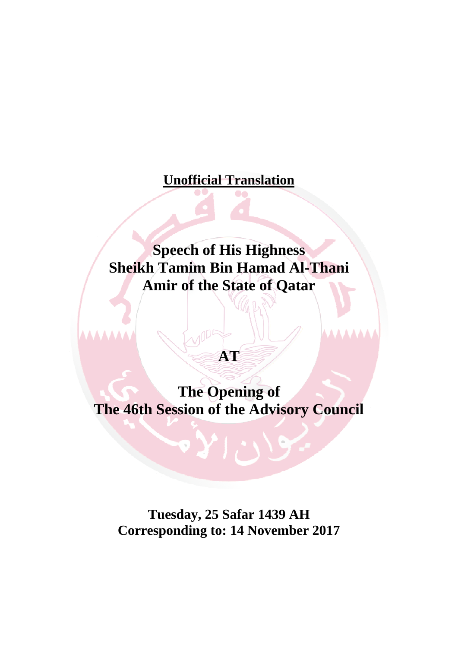# **Unofficial Translation**

# **Speech of His Highness Sheikh Tamim Bin Hamad Al-Thani Amir of the State of Qatar**

# **AT**

**The Opening of The 46th Session of the Advisory Council** 

**Tuesday, 25 Safar 1439 AH Corresponding to: 14 November 2017**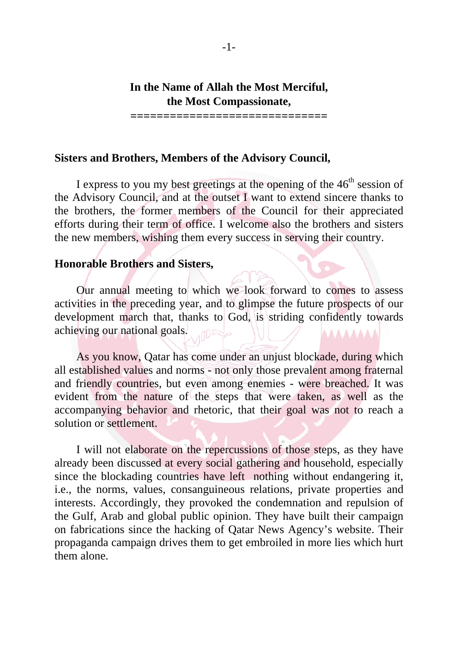# **In the Name of Allah the Most Merciful, the Most Compassionate,**

**==============================** 

## **Sisters and Brothers, Members of the Advisory Council,**

I express to you my best greetings at the opening of the  $46<sup>th</sup>$  session of the Advisory Council, and at the outset I want to extend sincere thanks to the brothers, the former members of the Council for their appreciated efforts during their term of office. I welcome also the brothers and sisters the new members, wishing them every success in serving their country.

#### **Honorable Brothers and Sisters,**

 Our annual meeting to which we look forward to comes to assess activities in the preceding year, and to glimpse the future prospects of our development march that, thanks to God, is striding confidently towards achieving our national goals. **AAAAAAA** 

 As you know, Qatar has come under an unjust blockade, during which all established values and norms - not only those prevalent among fraternal and friendly countries, but even among enemies - were breached. It was evident from the nature of the steps that were taken, as well as the accompanying behavior and rhetoric, that their goal was not to reach a solution or settlement.

 I will not elaborate on the repercussions of those steps, as they have already been discussed at every social gathering and household, especially since the blockading countries have left nothing without endangering it, i.e., the norms, values, consanguineous relations, private properties and interests. Accordingly, they provoked the condemnation and repulsion of the Gulf, Arab and global public opinion. They have built their campaign on fabrications since the hacking of Qatar News Agency's website. Their propaganda campaign drives them to get embroiled in more lies which hurt them alone.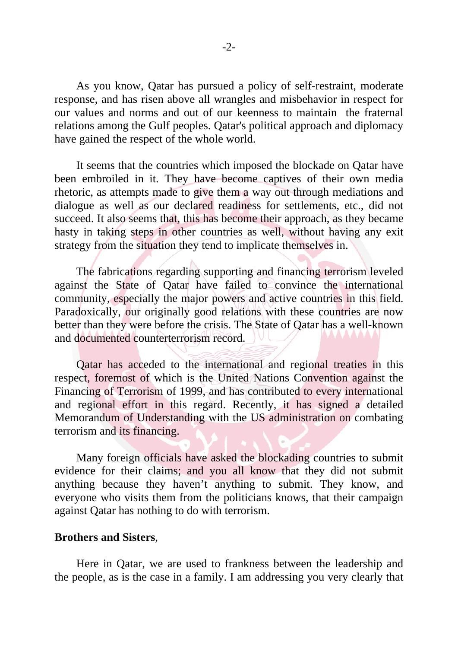As you know, Qatar has pursued a policy of self-restraint, moderate response, and has risen above all wrangles and misbehavior in respect for our values and norms and out of our keenness to maintain the fraternal relations among the Gulf peoples. Qatar's political approach and diplomacy have gained the respect of the whole world.

 It seems that the countries which imposed the blockade on Qatar have been embroiled in it. They have become captives of their own media rhetoric, as attempts made to give them a way out through mediations and dialogue as well as our declared readiness for settlements, etc., did not succeed. It also seems that, this has become their approach, as they became hasty in taking steps in other countries as well, without having any exit strategy from the situation they tend to implicate themselves in.

 The fabrications regarding supporting and financing terrorism leveled against the State of Qatar have failed to convince the international community, especially the major powers and active countries in this field. Paradoxically, our originally good relations with these countries are now better than they were before the crisis. The State of Qatar has a well-known and documented counterterrorism record.

 Qatar has acceded to the international and regional treaties in this respect, foremost of which is the United Nations Convention against the Financing of Terrorism of 1999, and has contributed to every international and regional effort in this regard. Recently, it has signed a detailed Memorandum of Understanding with the US administration on combating terrorism and its financing.

 Many foreign officials have asked the blockading countries to submit evidence for their claims; and you all know that they did not submit anything because they haven't anything to submit. They know, and everyone who visits them from the politicians knows, that their campaign against Qatar has nothing to do with terrorism.

#### **Brothers and Sisters**,

 Here in Qatar, we are used to frankness between the leadership and the people, as is the case in a family. I am addressing you very clearly that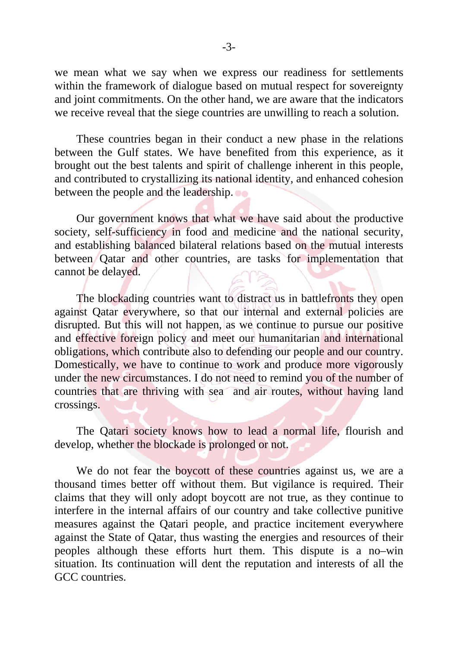we mean what we say when we express our readiness for settlements within the framework of dialogue based on mutual respect for sovereignty and joint commitments. On the other hand, we are aware that the indicators we receive reveal that the siege countries are unwilling to reach a solution.

 These countries began in their conduct a new phase in the relations between the Gulf states. We have benefited from this experience, as it brought out the best talents and spirit of challenge inherent in this people, and contributed to crystallizing its national identity, and enhanced cohesion between the people and the leadership.

 Our government knows that what we have said about the productive society, self-sufficiency in food and medicine and the national security, and establishing balanced bilateral relations based on the mutual interests between Qatar and other countries, are tasks for implementation that cannot be delayed.

 The blockading countries want to distract us in battlefronts they open against Qatar everywhere, so that our internal and external policies are disrupted. But this will not happen, as we continue to pursue our positive and effective foreign policy and meet our humanitarian and international obligations, which contribute also to defending our people and our country. Domestically, we have to continue to work and produce more vigorously under the new circumstances. I do not need to remind you of the number of countries that are thriving with sea and air routes, without having land crossings.

 The Qatari society knows how to lead a normal life, flourish and develop, whether the blockade is prolonged or not.

 We do not fear the boycott of these countries against us, we are a thousand times better off without them. But vigilance is required. Their claims that they will only adopt boycott are not true, as they continue to interfere in the internal affairs of our country and take collective punitive measures against the Qatari people, and practice incitement everywhere against the State of Qatar, thus wasting the energies and resources of their peoples although these efforts hurt them. This dispute is a no–win situation. Its continuation will dent the reputation and interests of all the GCC countries.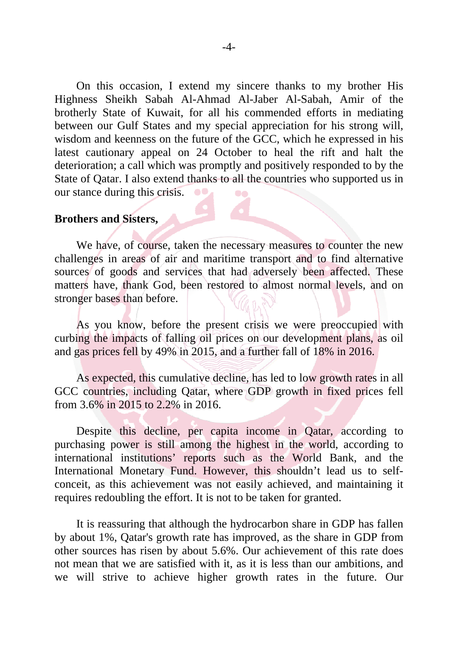On this occasion, I extend my sincere thanks to my brother His Highness Sheikh Sabah Al-Ahmad Al-Jaber Al-Sabah, Amir of the brotherly State of Kuwait, for all his commended efforts in mediating between our Gulf States and my special appreciation for his strong will, wisdom and keenness on the future of the GCC, which he expressed in his latest cautionary appeal on 24 October to heal the rift and halt the deterioration; a call which was promptly and positively responded to by the State of Qatar. I also extend thanks to all the countries who supported us in our stance during this crisis.  $\bullet\bullet$ 

#### **Brothers and Sisters,**

 We have, of course, taken the necessary measures to counter the new challenges in areas of air and maritime transport and to find alternative sources of goods and services that had adversely been affected. These matters have, thank God, been restored to almost normal levels, and on stronger bases than before.

 As you know, before the present crisis we were preoccupied with curbing the impacts of falling oil prices on our development plans, as oil and gas prices fell by 49% in 2015, and a further fall of 18% in 2016.

 As expected, this cumulative decline, has led to low growth rates in all GCC countries, including Qatar, where GDP growth in fixed prices fell from 3.6% in 2015 to 2.2% in 2016.

 Despite this decline, per capita income in Qatar, according to purchasing power is still among the highest in the world, according to international institutions' reports such as the World Bank, and the International Monetary Fund. However, this shouldn't lead us to selfconceit, as this achievement was not easily achieved, and maintaining it requires redoubling the effort. It is not to be taken for granted.

 It is reassuring that although the hydrocarbon share in GDP has fallen by about 1%, Qatar's growth rate has improved, as the share in GDP from other sources has risen by about 5.6%. Our achievement of this rate does not mean that we are satisfied with it, as it is less than our ambitions, and we will strive to achieve higher growth rates in the future. Our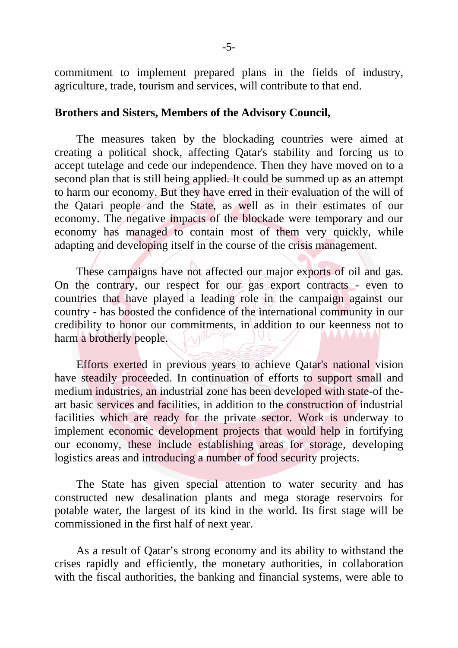commitment to implement prepared plans in the fields of industry, agriculture, trade, tourism and services, will contribute to that end.

#### **Brothers and Sisters, Members of the Advisory Council,**

 The measures taken by the blockading countries were aimed at creating a political shock, affecting Qatar's stability and forcing us to accept tutelage and cede our independence. Then they have moved on to a second plan that is still being applied. It could be summed up as an attempt to harm our economy. But they have erred in their evaluation of the will of the Qatari people and the State, as well as in their estimates of our economy. The negative impacts of the blockade were temporary and our economy has managed to contain most of them very quickly, while adapting and developing itself in the course of the crisis management.

 These campaigns have not affected our major exports of oil and gas. On the contrary, our respect for our gas export contracts - even to countries that have played a leading role in the campaign against our country - has boosted the confidence of the international community in our credibility to honor our commitments, in addition to our keenness not to harm a brotherly people.

 Efforts exerted in previous years to achieve Qatar's national vision have steadily proceeded. In continuation of efforts to support small and medium industries, an industrial zone has been developed with state-of theart basic services and facilities, in addition to the construction of industrial facilities which are ready for the private sector. Work is underway to implement economic development projects that would help in fortifying our economy, these include establishing areas for storage, developing logistics areas and introducing a number of food security projects.

 The State has given special attention to water security and has constructed new desalination plants and mega storage reservoirs for potable water, the largest of its kind in the world. Its first stage will be commissioned in the first half of next year.

 As a result of Qatar's strong economy and its ability to withstand the crises rapidly and efficiently, the monetary authorities, in collaboration with the fiscal authorities, the banking and financial systems, were able to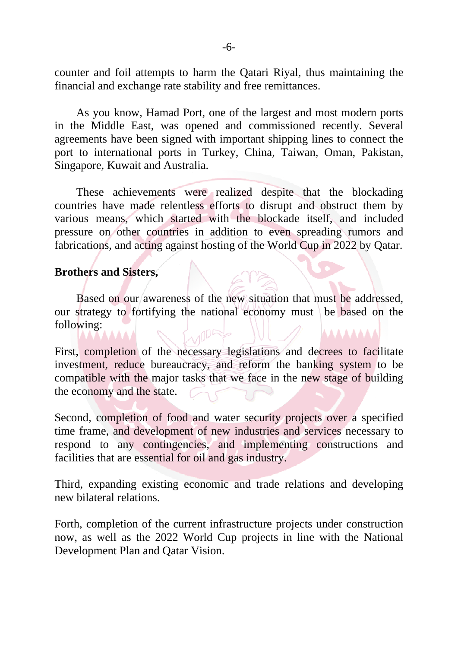counter and foil attempts to harm the Qatari Riyal, thus maintaining the financial and exchange rate stability and free remittances.

 As you know, Hamad Port, one of the largest and most modern ports in the Middle East, was opened and commissioned recently. Several agreements have been signed with important shipping lines to connect the port to international ports in Turkey, China, Taiwan, Oman, Pakistan, Singapore, Kuwait and Australia.

 These achievements were realized despite that the blockading countries have made relentless efforts to disrupt and obstruct them by various means, which started with the blockade itself, and included pressure on other countries in addition to even spreading rumors and fabrications, and acting against hosting of the World Cup in 2022 by Qatar.

### **Brothers and Sisters,**

 Based on our awareness of the new situation that must be addressed, our strategy to fortifying the national economy must be based on the following: AAAA

First, completion of the necessary legislations and decrees to facilitate investment, reduce bureaucracy, and reform the banking system to be compatible with the major tasks that we face in the new stage of building the economy and the state.

Second, completion of food and water security projects over a specified time frame, and development of new industries and services necessary to respond to any contingencies, and implementing constructions and facilities that are essential for oil and gas industry.

Third, expanding existing economic and trade relations and developing new bilateral relations.

Forth, completion of the current infrastructure projects under construction now, as well as the 2022 World Cup projects in line with the National Development Plan and Qatar Vision.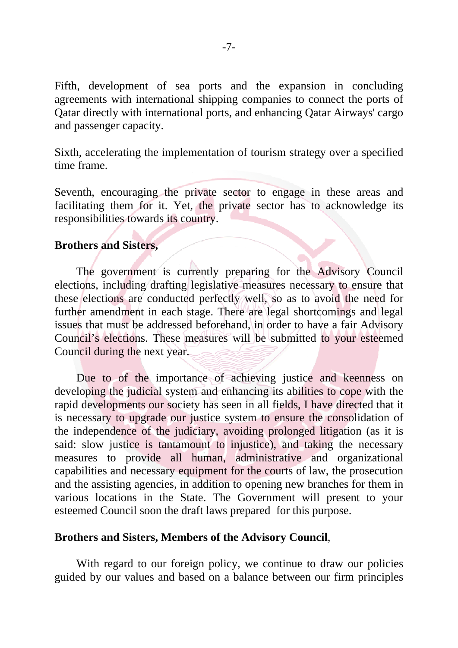Fifth, development of sea ports and the expansion in concluding agreements with international shipping companies to connect the ports of Qatar directly with international ports, and enhancing Qatar Airways' cargo and passenger capacity.

Sixth, accelerating the implementation of tourism strategy over a specified time frame.

Seventh, encouraging the private sector to engage in these areas and facilitating them for it. Yet, the private sector has to acknowledge its responsibilities towards its country.

## **Brothers and Sisters,**

 The government is currently preparing for the Advisory Council elections, including drafting legislative measures necessary to ensure that these elections are conducted perfectly well, so as to avoid the need for further amendment in each stage. There are legal shortcomings and legal issues that must be addressed beforehand, in order to have a fair Advisory Council's elections. These measures will be submitted to your esteemed Council during the next year.

 Due to of the importance of achieving justice and keenness on developing the judicial system and enhancing its abilities to cope with the rapid developments our society has seen in all fields, I have directed that it is necessary to upgrade our justice system to ensure the consolidation of the independence of the judiciary, avoiding prolonged litigation (as it is said: slow justice is tantamount to injustice), and taking the necessary measures to provide all human, administrative and organizational capabilities and necessary equipment for the courts of law, the prosecution and the assisting agencies, in addition to opening new branches for them in various locations in the State. The Government will present to your esteemed Council soon the draft laws prepared for this purpose.

# **Brothers and Sisters, Members of the Advisory Council**,

 With regard to our foreign policy, we continue to draw our policies guided by our values and based on a balance between our firm principles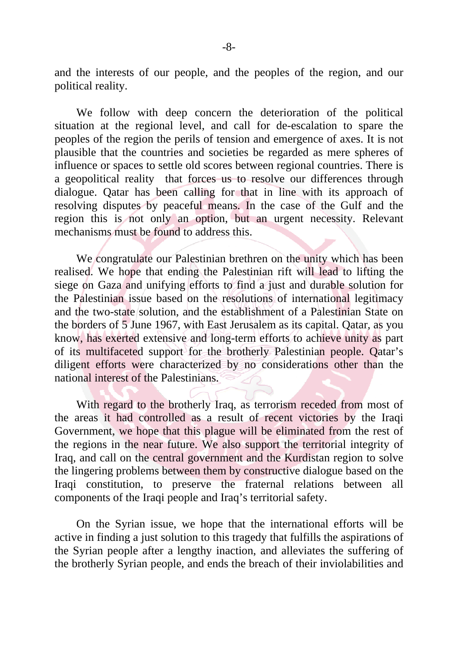and the interests of our people, and the peoples of the region, and our political reality.

 We follow with deep concern the deterioration of the political situation at the regional level, and call for de-escalation to spare the peoples of the region the perils of tension and emergence of axes. It is not plausible that the countries and societies be regarded as mere spheres of influence or spaces to settle old scores between regional countries. There is a geopolitical reality that forces us to resolve our differences through dialogue. Qatar has been calling for that in line with its approach of resolving disputes by peaceful means. In the case of the Gulf and the region this is not only an option, but an urgent necessity. Relevant mechanisms must be found to address this.

 We congratulate our Palestinian brethren on the unity which has been realised. We hope that ending the Palestinian rift will lead to lifting the siege on Gaza and unifying efforts to find a just and durable solution for the Palestinian issue based on the resolutions of international legitimacy and the two-state solution, and the establishment of a Palestinian State on the borders of 5 June 1967, with East Jerusalem as its capital. Qatar, as you know, has exerted extensive and long-term efforts to achieve unity as part of its multifaceted support for the brotherly Palestinian people. Qatar's diligent efforts were characterized by no considerations other than the national interest of the Palestinians.

 With regard to the brotherly Iraq, as terrorism receded from most of the areas it had controlled as a result of recent victories by the Iraqi Government, we hope that this plague will be eliminated from the rest of the regions in the near future. We also support the territorial integrity of Iraq, and call on the central government and the Kurdistan region to solve the lingering problems between them by constructive dialogue based on the Iraqi constitution, to preserve the fraternal relations between all components of the Iraqi people and Iraq's territorial safety.

 On the Syrian issue, we hope that the international efforts will be active in finding a just solution to this tragedy that fulfills the aspirations of the Syrian people after a lengthy inaction, and alleviates the suffering of the brotherly Syrian people, and ends the breach of their inviolabilities and